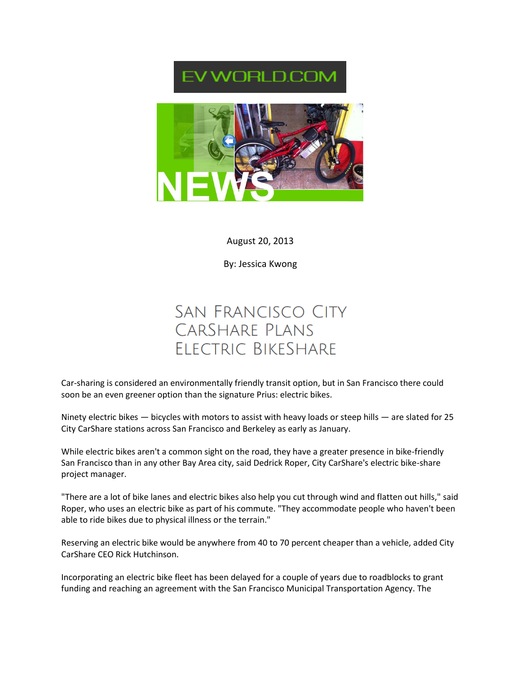



August 20, 2013

By: Jessica Kwong

## **SAN FRANCISCO CITY CARSHARE PLANS** ELECTRIC BIKESHARE

Car-sharing is considered an environmentally friendly transit option, but in San Francisco there could soon be an even greener option than the signature Prius: electric bikes.

Ninety electric bikes — bicycles with motors to assist with heavy loads or steep hills — are slated for 25 City CarShare stations across San Francisco and Berkeley as early as January.

While electric bikes aren't a common sight on the road, they have a greater presence in bike-friendly San Francisco than in any other Bay Area city, said Dedrick Roper, City CarShare's electric bike-share project manager.

"There are a lot of bike lanes and electric bikes also help you cut through wind and flatten out hills," said Roper, who uses an electric bike as part of his commute. "They accommodate people who haven't been able to ride bikes due to physical illness or the terrain."

Reserving an electric bike would be anywhere from 40 to 70 percent cheaper than a vehicle, added City CarShare CEO Rick Hutchinson.

Incorporating an electric bike fleet has been delayed for a couple of years due to roadblocks to grant funding and reaching an agreement with the San Francisco Municipal Transportation Agency. The